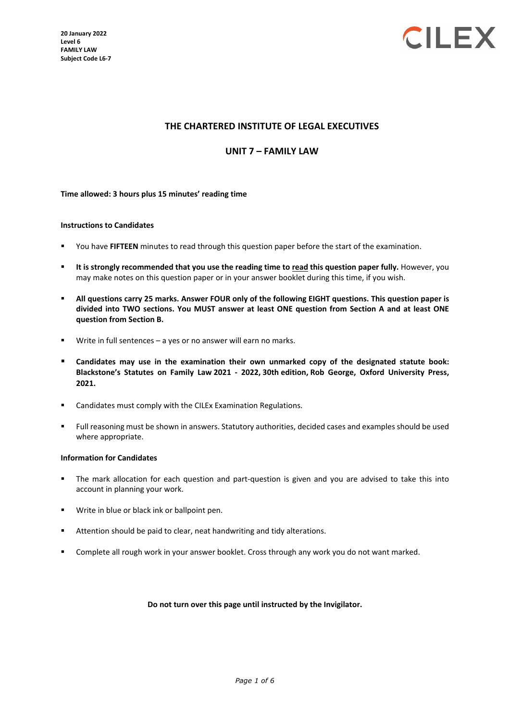

### **THE CHARTERED INSTITUTE OF LEGAL EXECUTIVES**

### **UNIT 7 – FAMILY LAW**

### **Time allowed: 3 hours plus 15 minutes' reading time**

#### **Instructions to Candidates**

- You have **FIFTEEN** minutes to read through this question paper before the start of the examination.
- **It is strongly recommended that you use the reading time to read this question paper fully.** However, you may make notes on this question paper or in your answer booklet during this time, if you wish.
- **All questions carry 25 marks. Answer FOUR only of the following EIGHT questions. This question paper is divided into TWO sections. You MUST answer at least ONE question from Section A and at least ONE question from Section B.**
- Write in full sentences a yes or no answer will earn no marks.
- **Candidates may use in the examination their own unmarked copy of the designated statute book: Blackstone's Statutes on Family Law 2021 - 2022, 30th edition, Rob George, Oxford University Press, 2021.**
- **EXEC** Candidates must comply with the CILEx Examination Regulations.
- Full reasoning must be shown in answers. Statutory authorities, decided cases and examples should be used where appropriate.

#### **Information for Candidates**

- The mark allocation for each question and part-question is given and you are advised to take this into account in planning your work.
- Write in blue or black ink or ballpoint pen.
- Attention should be paid to clear, neat handwriting and tidy alterations.
- **Complete all rough work in your answer booklet. Cross through any work you do not want marked.**

#### **Do not turn over this page until instructed by the Invigilator.**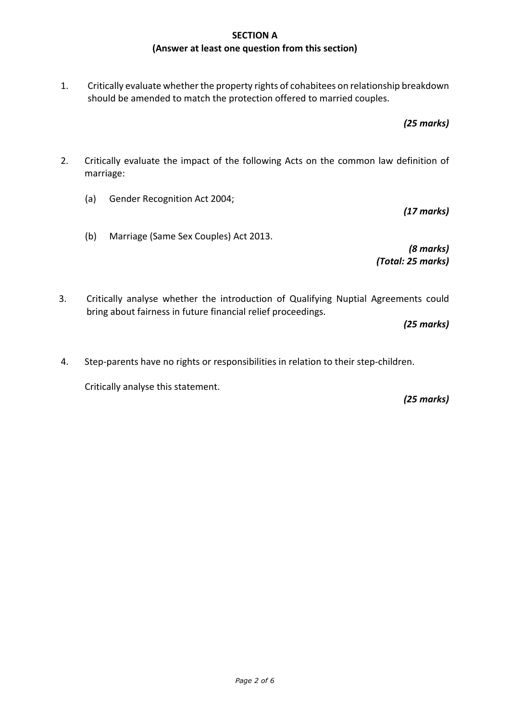## **SECTION A (Answer at least one question from this section)**

1. Critically evaluate whether the property rights of cohabitees on relationship breakdown should be amended to match the protection offered to married couples.

*(25 marks)*

*(17 marks)*

- 2. Critically evaluate the impact of the following Acts on the common law definition of marriage:
	- (a) Gender Recognition Act 2004;
	- (b) Marriage (Same Sex Couples) Act 2013.

*(8 marks) (Total: 25 marks)*

3. Critically analyse whether the introduction of Qualifying Nuptial Agreements could bring about fairness in future financial relief proceedings.

*(25 marks)*

4. Step-parents have no rights or responsibilities in relation to their step-children.

Critically analyse this statement.

*(25 marks)*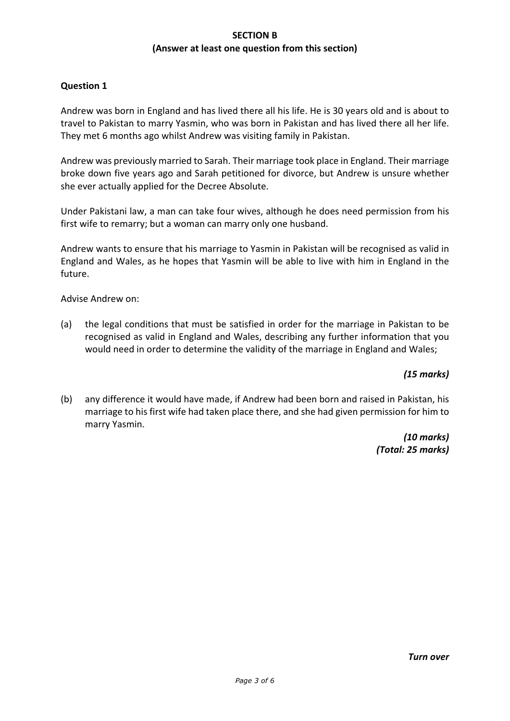## **SECTION B (Answer at least one question from this section)**

## **Question 1**

Andrew was born in England and has lived there all his life. He is 30 years old and is about to travel to Pakistan to marry Yasmin, who was born in Pakistan and has lived there all her life. They met 6 months ago whilst Andrew was visiting family in Pakistan.

Andrew was previously married to Sarah. Their marriage took place in England. Their marriage broke down five years ago and Sarah petitioned for divorce, but Andrew is unsure whether she ever actually applied for the Decree Absolute.

Under Pakistani law, a man can take four wives, although he does need permission from his first wife to remarry; but a woman can marry only one husband.

Andrew wants to ensure that his marriage to Yasmin in Pakistan will be recognised as valid in England and Wales, as he hopes that Yasmin will be able to live with him in England in the future.

Advise Andrew on:

(a) the legal conditions that must be satisfied in order for the marriage in Pakistan to be recognised as valid in England and Wales, describing any further information that you would need in order to determine the validity of the marriage in England and Wales;

## *(15 marks)*

(b) any difference it would have made, if Andrew had been born and raised in Pakistan, his marriage to his first wife had taken place there, and she had given permission for him to marry Yasmin.

> *(10 marks) (Total: 25 marks)*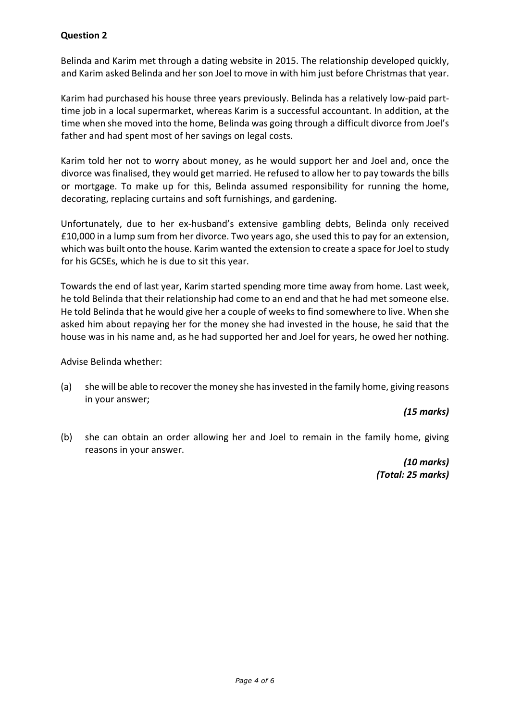# **Question 2**

Belinda and Karim met through a dating website in 2015. The relationship developed quickly, and Karim asked Belinda and her son Joel to move in with him just before Christmas that year.

Karim had purchased his house three years previously. Belinda has a relatively low-paid parttime job in a local supermarket, whereas Karim is a successful accountant. In addition, at the time when she moved into the home, Belinda was going through a difficult divorce from Joel's father and had spent most of her savings on legal costs.

Karim told her not to worry about money, as he would support her and Joel and, once the divorce was finalised, they would get married. He refused to allow her to pay towards the bills or mortgage. To make up for this, Belinda assumed responsibility for running the home, decorating, replacing curtains and soft furnishings, and gardening.

Unfortunately, due to her ex-husband's extensive gambling debts, Belinda only received £10,000 in a lump sum from her divorce. Two years ago, she used this to pay for an extension, which was built onto the house. Karim wanted the extension to create a space for Joel to study for his GCSEs, which he is due to sit this year.

Towards the end of last year, Karim started spending more time away from home. Last week, he told Belinda that their relationship had come to an end and that he had met someone else. He told Belinda that he would give her a couple of weeks to find somewhere to live. When she asked him about repaying her for the money she had invested in the house, he said that the house was in his name and, as he had supported her and Joel for years, he owed her nothing.

Advise Belinda whether:

(a) she will be able to recover the money she has invested in the family home, giving reasons in your answer;

*(15 marks)*

(b) she can obtain an order allowing her and Joel to remain in the family home, giving reasons in your answer.

> *(10 marks) (Total: 25 marks)*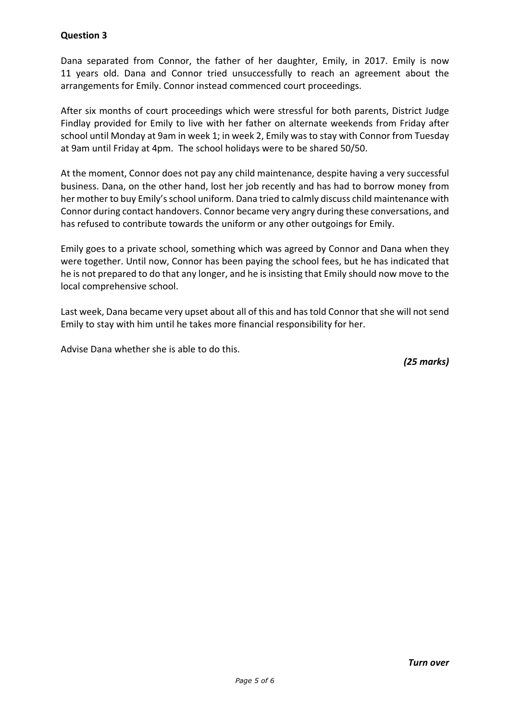# **Question 3**

Dana separated from Connor, the father of her daughter, Emily, in 2017. Emily is now 11 years old. Dana and Connor tried unsuccessfully to reach an agreement about the arrangements for Emily. Connor instead commenced court proceedings.

After six months of court proceedings which were stressful for both parents, District Judge Findlay provided for Emily to live with her father on alternate weekends from Friday after school until Monday at 9am in week 1; in week 2, Emily was to stay with Connor from Tuesday at 9am until Friday at 4pm. The school holidays were to be shared 50/50.

At the moment, Connor does not pay any child maintenance, despite having a very successful business. Dana, on the other hand, lost her job recently and has had to borrow money from her mother to buy Emily's school uniform. Dana tried to calmly discuss child maintenance with Connor during contact handovers. Connor became very angry during these conversations, and has refused to contribute towards the uniform or any other outgoings for Emily.

Emily goes to a private school, something which was agreed by Connor and Dana when they were together. Until now, Connor has been paying the school fees, but he has indicated that he is not prepared to do that any longer, and he is insisting that Emily should now move to the local comprehensive school.

Last week, Dana became very upset about all of this and has told Connor that she will not send Emily to stay with him until he takes more financial responsibility for her.

Advise Dana whether she is able to do this.

*(25 marks)*